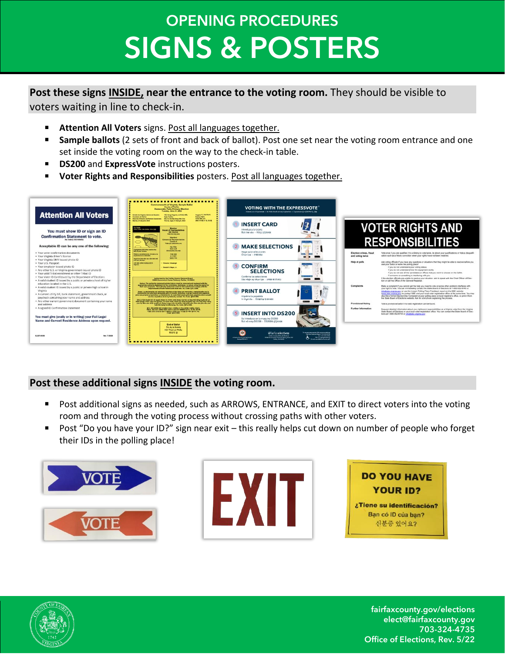# **OPENING PROCEDURES SIGNS & POSTERS**

### **Post these signs INSIDE, near the entrance to the voting room.** They should be visible to voters waiting in line to check-in.

- **E** Attention All Voters signs. Post all languages together.
- Sample ballots (2 sets of front and back of ballot). Post one set near the voting room entrance and one set inside the voting room on the way to the check-in table.
- **DS200** and **ExpressVote** instructions posters.
- Voter Rights and Responsibilities posters. Post all languages together.



### **Post these additional signs INSIDE the voting room.**

- Post additional signs as needed, such as ARROWS, ENTRANCE, and EXIT to direct voters into the voting room and through the voting process without crossing paths with other voters.
- Post "Do you have your ID?" sign near exit this really helps cut down on number of people who forget their IDs in the polling place!









fairfaxcounty.gov/elections elect@fairfaxcounty.gov 703-324-4735 Office of Elections, Rev. 5/22